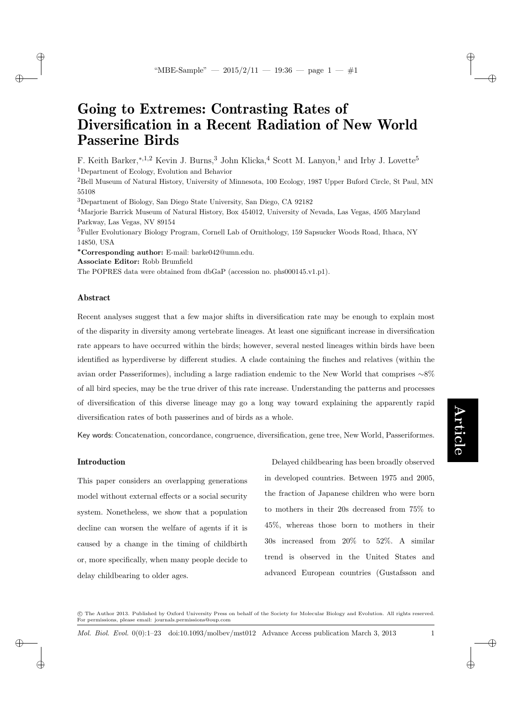# Going to Extremes: Contrasting Rates of Diversification in a Recent Radiation of New World Passerine Birds

F. Keith Barker,<sup>∗,1,2</sup> Kevin J. Burns,<sup>3</sup> John Klicka,<sup>4</sup> Scott M. Lanyon,<sup>1</sup> and Irby J. Lovette<sup>5</sup> <sup>1</sup>Department of Ecology, Evolution and Behavior

<sup>2</sup>Bell Museum of Natural History, University of Minnesota, 100 Ecology, 1987 Upper Buford Circle, St Paul, MN 55108

<sup>3</sup>Department of Biology, San Diego State University, San Diego, CA 92182

<sup>4</sup>Marjorie Barrick Museum of Natural History, Box 454012, University of Nevada, Las Vegas, 4505 Maryland Parkway, Las Vegas, NV 89154

<sup>5</sup>Fuller Evolutionary Biology Program, Cornell Lab of Ornithology, 159 Sapsucker Woods Road, Ithaca, NY 14850, USA

<sup>∗</sup>Corresponding author: E-mail: barke042@umn.edu.

Associate Editor: Robb Brumfield

The POPRES data were obtained from dbGaP (accession no. phs000145.v1.p1).

### Abstract

 $\rightarrow$ 

 $\rightarrow$ 

✐

✐

Recent analyses suggest that a few major shifts in diversification rate may be enough to explain most of the disparity in diversity among vertebrate lineages. At least one significant increase in diversification rate appears to have occurred within the birds; however, several nested lineages within birds have been identified as hyperdiverse by different studies. A clade containing the finches and relatives (within the avian order Passeriformes), including a large radiation endemic to the New World that comprises ∼8% of all bird species, may be the true driver of this rate increase. Understanding the patterns and processes of diversification of this diverse lineage may go a long way toward explaining the apparently rapid diversification rates of both passerines and of birds as a whole.

Key words: Concatenation, concordance, congruence, diversification, gene tree, New World, Passeriformes.

#### Introduction

This paper considers an overlapping generations model without external effects or a social security system. Nonetheless, we show that a population decline can worsen the welfare of agents if it is caused by a change in the timing of childbirth or, more specifically, when many people decide to delay childbearing to older ages.

Delayed childbearing has been broadly observed in developed countries. Between 1975 and 2005, the fraction of Japanese children who were born to mothers in their 20s decreased from 75% to 45%, whereas those born to mothers in their 30s increased from 20% to 52%. A similar trend is observed in the United States and advanced European countries (Gustafsson and

 c The Author 2013. Published by Oxford University Press on behalf of the Society for Molecular Biology and Evolution. All rights reserved. For permissions, please email: journals.permissions@oup.com

Mol. Biol. Evol. 0(0):1–23 doi:10.1093/molbev/mst012 Advance Access publication March 3, 2013 1

✐

✐

✐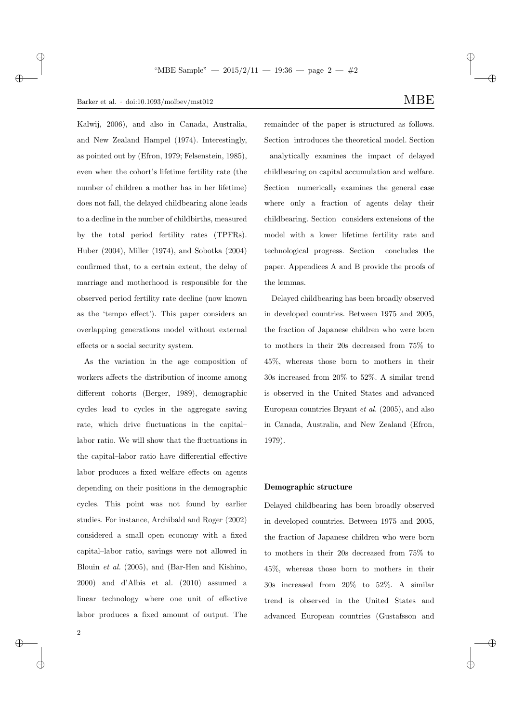$\rightarrow$ 

✐

Kalwij, 2006), and also in Canada, Australia, and New Zealand Hampel (1974). Interestingly, as pointed out by (Efron, 1979; Felsenstein, 1985), even when the cohort's lifetime fertility rate (the number of children a mother has in her lifetime) does not fall, the delayed childbearing alone leads to a decline in the number of childbirths, measured by the total period fertility rates (TPFRs). Huber (2004), Miller (1974), and Sobotka (2004) confirmed that, to a certain extent, the delay of marriage and motherhood is responsible for the observed period fertility rate decline (now known as the 'tempo effect'). This paper considers an overlapping generations model without external effects or a social security system.

As the variation in the age composition of workers affects the distribution of income among different cohorts (Berger, 1989), demographic cycles lead to cycles in the aggregate saving rate, which drive fluctuations in the capital– labor ratio. We will show that the fluctuations in the capital–labor ratio have differential effective labor produces a fixed welfare effects on agents depending on their positions in the demographic cycles. This point was not found by earlier studies. For instance, Archibald and Roger (2002) considered a small open economy with a fixed capital–labor ratio, savings were not allowed in Blouin et al. (2005), and (Bar-Hen and Kishino, 2000) and d'Albis et al. (2010) assumed a linear technology where one unit of effective labor produces a fixed amount of output. The

remainder of the paper is structured as follows. Section introduces the theoretical model. Section analytically examines the impact of delayed childbearing on capital accumulation and welfare. Section numerically examines the general case where only a fraction of agents delay their childbearing. Section considers extensions of the model with a lower lifetime fertility rate and technological progress. Section concludes the paper. Appendices A and B provide the proofs of the lemmas.

Delayed childbearing has been broadly observed in developed countries. Between 1975 and 2005, the fraction of Japanese children who were born to mothers in their 20s decreased from 75% to 45%, whereas those born to mothers in their 30s increased from 20% to 52%. A similar trend is observed in the United States and advanced European countries Bryant et al. (2005), and also in Canada, Australia, and New Zealand (Efron, 1979).

#### Demographic structure

Delayed childbearing has been broadly observed in developed countries. Between 1975 and 2005, the fraction of Japanese children who were born to mothers in their 20s decreased from 75% to 45%, whereas those born to mothers in their 30s increased from 20% to 52%. A similar trend is observed in the United States and advanced European countries (Gustafsson and ✐

✐

2

 $\rightarrow$ 

✐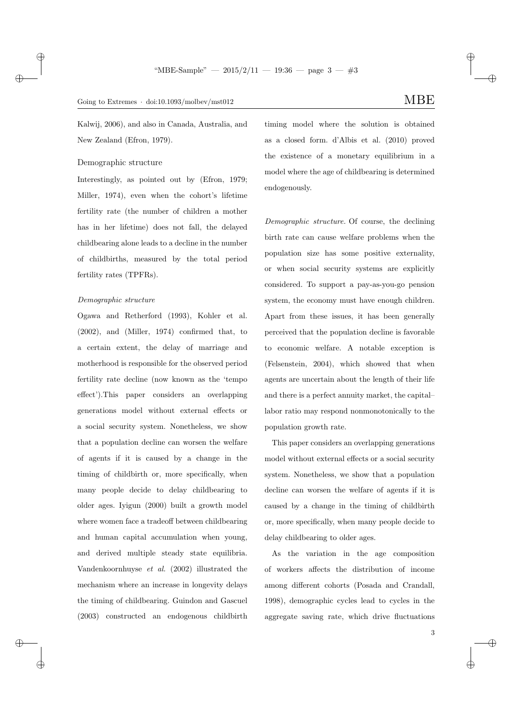Kalwij, 2006), and also in Canada, Australia, and New Zealand (Efron, 1979).

Demographic structure

 $\rightarrow$ 

 $\rightarrow$ 

✐

✐

Interestingly, as pointed out by (Efron, 1979; Miller, 1974), even when the cohort's lifetime fertility rate (the number of children a mother has in her lifetime) does not fall, the delayed childbearing alone leads to a decline in the number of childbirths, measured by the total period fertility rates (TPFRs).

#### Demographic structure

Ogawa and Retherford (1993), Kohler et al. (2002), and (Miller, 1974) confirmed that, to a certain extent, the delay of marriage and motherhood is responsible for the observed period fertility rate decline (now known as the 'tempo effect').This paper considers an overlapping generations model without external effects or a social security system. Nonetheless, we show that a population decline can worsen the welfare of agents if it is caused by a change in the timing of childbirth or, more specifically, when many people decide to delay childbearing to older ages. Iyigun (2000) built a growth model where women face a tradeoff between childbearing and human capital accumulation when young, and derived multiple steady state equilibria. Vandenkoornhuyse et al. (2002) illustrated the mechanism where an increase in longevity delays the timing of childbearing. Guindon and Gascuel (2003) constructed an endogenous childbirth

timing model where the solution is obtained as a closed form. d'Albis et al. (2010) proved the existence of a monetary equilibrium in a model where the age of childbearing is determined endogenously.

Demographic structure. Of course, the declining birth rate can cause welfare problems when the population size has some positive externality, or when social security systems are explicitly considered. To support a pay-as-you-go pension system, the economy must have enough children. Apart from these issues, it has been generally perceived that the population decline is favorable to economic welfare. A notable exception is (Felsenstein, 2004), which showed that when agents are uncertain about the length of their life and there is a perfect annuity market, the capital– labor ratio may respond nonmonotonically to the population growth rate.

This paper considers an overlapping generations model without external effects or a social security system. Nonetheless, we show that a population decline can worsen the welfare of agents if it is caused by a change in the timing of childbirth or, more specifically, when many people decide to delay childbearing to older ages.

As the variation in the age composition of workers affects the distribution of income among different cohorts (Posada and Crandall, 1998), demographic cycles lead to cycles in the aggregate saving rate, which drive fluctuations ✐

✐

✐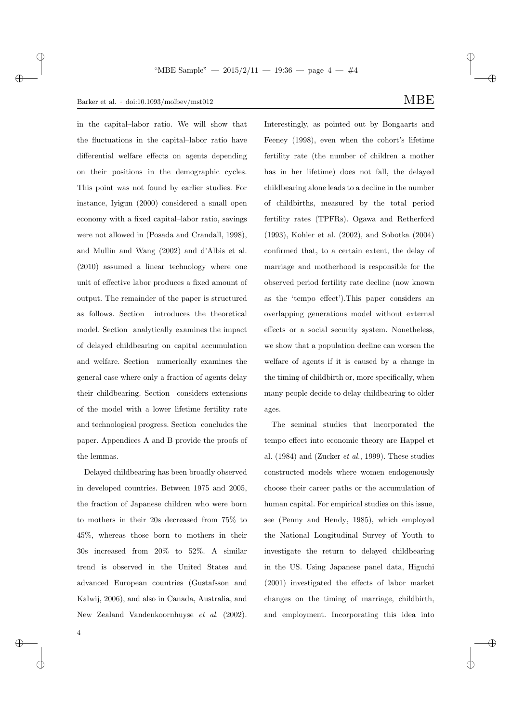$\rightarrow$ 

✐

in the capital–labor ratio. We will show that the fluctuations in the capital–labor ratio have differential welfare effects on agents depending on their positions in the demographic cycles. This point was not found by earlier studies. For instance, Iyigun (2000) considered a small open economy with a fixed capital–labor ratio, savings were not allowed in (Posada and Crandall, 1998), and Mullin and Wang (2002) and d'Albis et al. (2010) assumed a linear technology where one unit of effective labor produces a fixed amount of output. The remainder of the paper is structured as follows. Section introduces the theoretical model. Section analytically examines the impact of delayed childbearing on capital accumulation and welfare. Section numerically examines the general case where only a fraction of agents delay their childbearing. Section considers extensions of the model with a lower lifetime fertility rate and technological progress. Section concludes the paper. Appendices A and B provide the proofs of the lemmas.

Delayed childbearing has been broadly observed in developed countries. Between 1975 and 2005, the fraction of Japanese children who were born to mothers in their 20s decreased from 75% to 45%, whereas those born to mothers in their 30s increased from 20% to 52%. A similar trend is observed in the United States and advanced European countries (Gustafsson and Kalwij, 2006), and also in Canada, Australia, and New Zealand Vandenkoornhuyse et al. (2002).

✐

✐

Interestingly, as pointed out by Bongaarts and Feeney (1998), even when the cohort's lifetime fertility rate (the number of children a mother has in her lifetime) does not fall, the delayed childbearing alone leads to a decline in the number of childbirths, measured by the total period fertility rates (TPFRs). Ogawa and Retherford (1993), Kohler et al. (2002), and Sobotka (2004) confirmed that, to a certain extent, the delay of marriage and motherhood is responsible for the observed period fertility rate decline (now known as the 'tempo effect').This paper considers an overlapping generations model without external effects or a social security system. Nonetheless, we show that a population decline can worsen the welfare of agents if it is caused by a change in the timing of childbirth or, more specifically, when many people decide to delay childbearing to older ages.

The seminal studies that incorporated the tempo effect into economic theory are Happel et al.  $(1984)$  and  $(Zucker et al., 1999)$ . These studies constructed models where women endogenously choose their career paths or the accumulation of human capital. For empirical studies on this issue, see (Penny and Hendy, 1985), which employed the National Longitudinal Survey of Youth to investigate the return to delayed childbearing in the US. Using Japanese panel data, Higuchi (2001) investigated the effects of labor market changes on the timing of marriage, childbirth, and employment. Incorporating this idea into

4

 $\oplus$ 

 $\rightarrow$ 

✐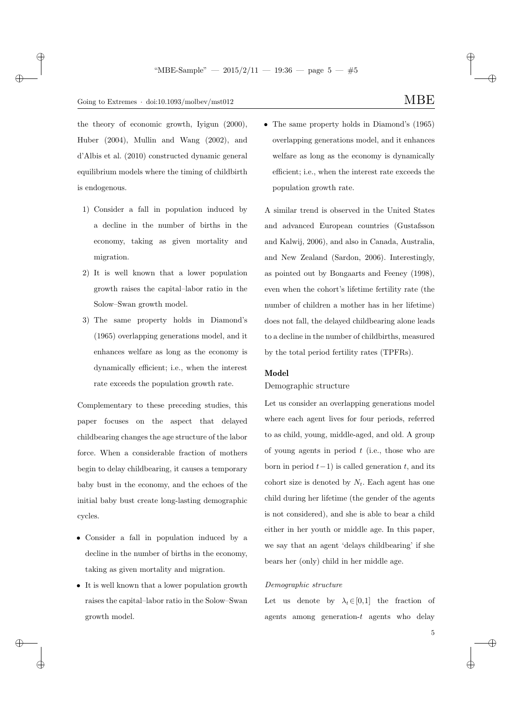$\rightarrow$ 

✐

✐

the theory of economic growth, Iyigun (2000), Huber (2004), Mullin and Wang (2002), and d'Albis et al. (2010) constructed dynamic general equilibrium models where the timing of childbirth is endogenous.

- 1) Consider a fall in population induced by a decline in the number of births in the economy, taking as given mortality and migration.
- 2) It is well known that a lower population growth raises the capital–labor ratio in the Solow–Swan growth model.
- 3) The same property holds in Diamond's (1965) overlapping generations model, and it enhances welfare as long as the economy is dynamically efficient; i.e., when the interest rate exceeds the population growth rate.

Complementary to these preceding studies, this paper focuses on the aspect that delayed childbearing changes the age structure of the labor force. When a considerable fraction of mothers begin to delay childbearing, it causes a temporary baby bust in the economy, and the echoes of the initial baby bust create long-lasting demographic cycles.

- Consider a fall in population induced by a decline in the number of births in the economy, taking as given mortality and migration.
- It is well known that a lower population growth raises the capital–labor ratio in the Solow–Swan growth model.

• The same property holds in Diamond's (1965) overlapping generations model, and it enhances welfare as long as the economy is dynamically efficient; i.e., when the interest rate exceeds the population growth rate.

A similar trend is observed in the United States and advanced European countries (Gustafsson and Kalwij, 2006), and also in Canada, Australia, and New Zealand (Sardon, 2006). Interestingly, as pointed out by Bongaarts and Feeney (1998), even when the cohort's lifetime fertility rate (the number of children a mother has in her lifetime) does not fall, the delayed childbearing alone leads to a decline in the number of childbirths, measured by the total period fertility rates (TPFRs).

### Model

## Demographic structure

Let us consider an overlapping generations model where each agent lives for four periods, referred to as child, young, middle-aged, and old. A group of young agents in period  $t$  (i.e., those who are born in period  $t-1$ ) is called generation t, and its cohort size is denoted by  $N_t$ . Each agent has one child during her lifetime (the gender of the agents is not considered), and she is able to bear a child either in her youth or middle age. In this paper, we say that an agent 'delays childbearing' if she bears her (only) child in her middle age.

#### Demographic structure

Let us denote by  $\lambda_t \in [0,1]$  the fraction of agents among generation-t agents who delay

✐

✐

✐

5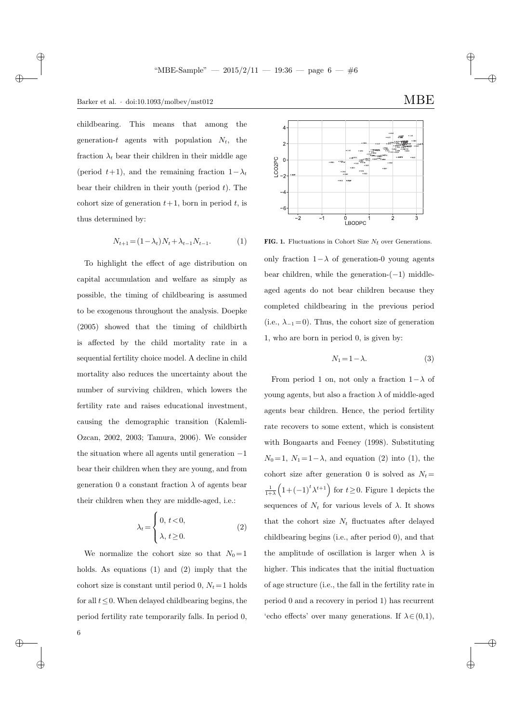$\rightarrow$ 

 $\rightarrow$ 

 $\oplus$ 

6

✐

childbearing. This means that among the generation-t agents with population  $N_t$ , the fraction  $\lambda_t$  bear their children in their middle age (period  $t+1$ ), and the remaining fraction  $1-\lambda_t$ bear their children in their youth (period  $t$ ). The cohort size of generation  $t+1$ , born in period t, is thus determined by:

$$
N_{t+1} = (1 - \lambda_t) N_t + \lambda_{t-1} N_{t-1}.
$$
 (1)

To highlight the effect of age distribution on capital accumulation and welfare as simply as possible, the timing of childbearing is assumed to be exogenous throughout the analysis. Doepke (2005) showed that the timing of childbirth is affected by the child mortality rate in a sequential fertility choice model. A decline in child mortality also reduces the uncertainty about the number of surviving children, which lowers the fertility rate and raises educational investment, causing the demographic transition (Kalemli-Ozcan, 2002, 2003; Tamura, 2006). We consider the situation where all agents until generation −1 bear their children when they are young, and from generation 0 a constant fraction  $\lambda$  of agents bear their children when they are middle-aged, i.e.:

$$
\lambda_t = \begin{cases} 0, t < 0, \\ \lambda, t \ge 0. \end{cases}
$$
 (2)

We normalize the cohort size so that  $N_0 = 1$ holds. As equations (1) and (2) imply that the cohort size is constant until period 0,  $N_t = 1$  holds for all  $t \leq 0$ . When delayed childbearing begins, the period fertility rate temporarily falls. In period 0,



FIG. 1. Fluctuations in Cohort Size  $N_t$  over Generations. only fraction  $1-\lambda$  of generation-0 young agents bear children, while the generation- $(-1)$  middleaged agents do not bear children because they completed childbearing in the previous period (i.e.,  $\lambda_{-1}=0$ ). Thus, the cohort size of generation 1, who are born in period 0, is given by:

$$
N_1 = 1 - \lambda. \tag{3}
$$

From period 1 on, not only a fraction  $1-\lambda$  of young agents, but also a fraction  $\lambda$  of middle-aged agents bear children. Hence, the period fertility rate recovers to some extent, which is consistent with Bongaarts and Feeney (1998). Substituting  $N_0 = 1, N_1 = 1 - \lambda$ , and equation (2) into (1), the cohort size after generation 0 is solved as  $N_t =$ 1  $\frac{1}{1+\lambda}\left(1+(-1)^{t}\lambda^{t+1}\right)$  for  $t\geq 0$ . Figure 1 depicts the sequences of  $N_t$  for various levels of  $\lambda$ . It shows that the cohort size  $N_t$  fluctuates after delayed childbearing begins (i.e., after period 0), and that the amplitude of oscillation is larger when  $\lambda$  is higher. This indicates that the initial fluctuation of age structure (i.e., the fall in the fertility rate in period 0 and a recovery in period 1) has recurrent 'echo effects' over many generations. If  $\lambda \in (0,1)$ ,

✐

✐

✐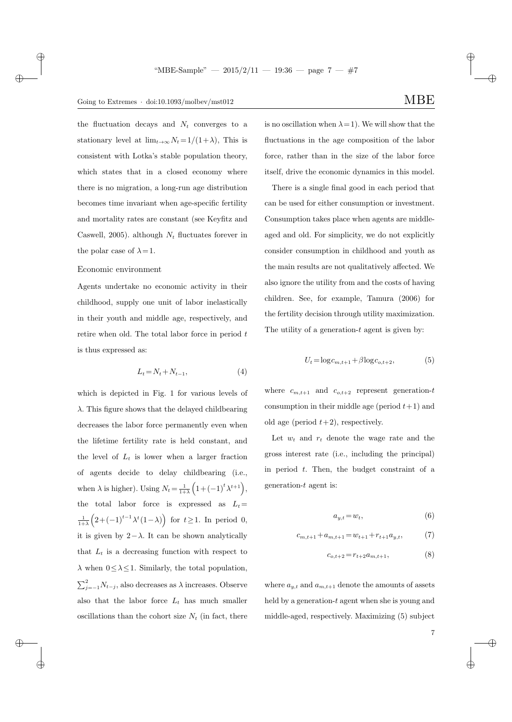## Going to Extremes · doi:10.1093/molbev/mst012  $\text{MBE}$

the fluctuation decays and  $N_t$  converges to a stationary level at  $\lim_{t\to\infty} N_t = 1/(1+\lambda)$ , This is consistent with Lotka's stable population theory, which states that in a closed economy where there is no migration, a long-run age distribution becomes time invariant when age-specific fertility and mortality rates are constant (see Keyfitz and Caswell, 2005). although  $N_t$  fluctuates forever in the polar case of  $\lambda = 1$ .

### Economic environment

 $\rightarrow$ 

 $\rightarrow$ 

 $\oplus$ 

✐

Agents undertake no economic activity in their childhood, supply one unit of labor inelastically in their youth and middle age, respectively, and retire when old. The total labor force in period  $t$ is thus expressed as:

$$
L_t = N_t + N_{t-1},\tag{4}
$$

which is depicted in Fig. 1 for various levels of  $\lambda$ . This figure shows that the delayed childbearing decreases the labor force permanently even when the lifetime fertility rate is held constant, and the level of  $L_t$  is lower when a larger fraction of agents decide to delay childbearing (i.e., when  $\lambda$  is higher). Using  $N_t = \frac{1}{1 + \lambda}$  $\frac{1}{1+\lambda}\left(1+(-1)^{t}\lambda^{t+1}\right),$ the total labor force is expressed as  $L_t =$ 1  $\frac{1}{1+\lambda}\left(2+(-1)^{t-1}\lambda^t(1-\lambda)\right)$  for  $t\geq 1$ . In period 0, it is given by  $2-\lambda$ . It can be shown analytically that  $L_t$  is a decreasing function with respect to  $\lambda$  when  $0 \leq \lambda \leq 1$ . Similarly, the total population,  $\sum_{j=-1}^{2} N_{t-j}$ , also decreases as  $\lambda$  increases. Observe also that the labor force  $L_t$  has much smaller oscillations than the cohort size  $N_t$  (in fact, there is no oscillation when  $\lambda = 1$ ). We will show that the fluctuations in the age composition of the labor force, rather than in the size of the labor force itself, drive the economic dynamics in this model.

There is a single final good in each period that can be used for either consumption or investment. Consumption takes place when agents are middleaged and old. For simplicity, we do not explicitly consider consumption in childhood and youth as the main results are not qualitatively affected. We also ignore the utility from and the costs of having children. See, for example, Tamura (2006) for the fertility decision through utility maximization. The utility of a generation- $t$  agent is given by:

$$
U_t = \log c_{m,t+1} + \beta \log c_{o,t+2},\tag{5}
$$

where  $c_{m,t+1}$  and  $c_{o,t+2}$  represent generation-t consumption in their middle age (period  $t+1$ ) and old age (period  $t+2$ ), respectively.

Let  $w_t$  and  $r_t$  denote the wage rate and the gross interest rate (i.e., including the principal) in period  $t$ . Then, the budget constraint of a generation-t agent is:

$$
a_{y,t} = w_t,\tag{6}
$$

$$
c_{m,t+1} + a_{m,t+1} = w_{t+1} + r_{t+1}a_{y,t},\tag{7}
$$

$$
c_{o,t+2} = r_{t+2}a_{m,t+1},\tag{8}
$$

where  $a_{y,t}$  and  $a_{m,t+1}$  denote the amounts of assets held by a generation-t agent when she is young and middle-aged, respectively. Maximizing (5) subject

✐

✐

✐

7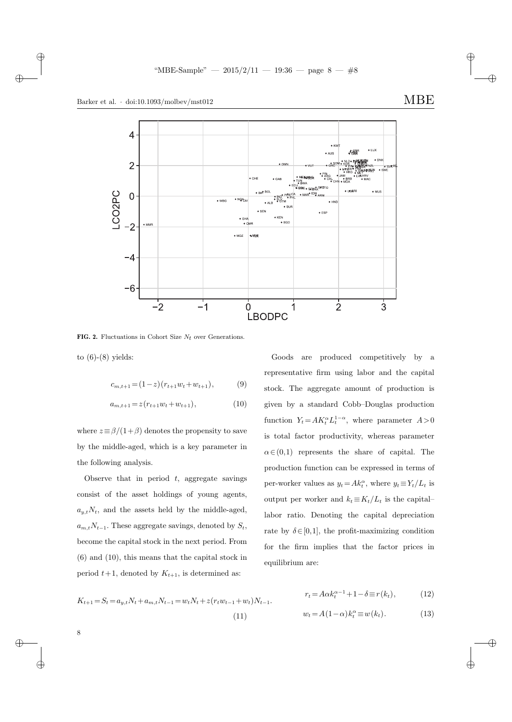✐

 $\oplus$ 

8

✐





FIG. 2. Fluctuations in Cohort Size  $N_t$  over Generations.

to  $(6)-(8)$  yields:

$$
c_{m,t+1} = (1-z)(r_{t+1}w_t + w_{t+1}), \tag{9}
$$

$$
a_{m,t+1} = z(r_{t+1}w_t + w_{t+1}),
$$
\n(10)

where  $z \equiv \beta/(1+\beta)$  denotes the propensity to save by the middle-aged, which is a key parameter in the following analysis.

Observe that in period  $t$ , aggregate savings consist of the asset holdings of young agents,  $a_{y,t}N_t$ , and the assets held by the middle-aged,  $a_{m,t}N_{t-1}$ . These aggregate savings, denoted by  $S_t$ , become the capital stock in the next period. From (6) and (10), this means that the capital stock in period  $t+1$ , denoted by  $K_{t+1}$ , is determined as:

Goods are produced competitively by a representative firm using labor and the capital stock. The aggregate amount of production is given by a standard Cobb–Douglas production function  $Y_t = AK_t^{\alpha}L_t^{1-\alpha}$ , where parameter  $A>0$ is total factor productivity, whereas parameter  $\alpha \in (0,1)$  represents the share of capital. The production function can be expressed in terms of per-worker values as  $y_t = Ak_t^{\alpha}$ , where  $y_t \equiv Y_t/L_t$  is output per worker and  $k_t \equiv K_t/L_t$  is the capital– labor ratio. Denoting the capital depreciation rate by  $\delta \in [0,1]$ , the profit-maximizing condition for the firm implies that the factor prices in equilibrium are:

$$
K_{t+1} = S_t = a_{y,t}N_t + a_{m,t}N_{t-1} = w_tN_t + z(r_tw_{t-1} + w_t)N_{t-1}.
$$
  
\n
$$
v_t = A\alpha k_t^{\alpha-1} + 1 - \delta \equiv r(k_t),
$$
  
\n
$$
w_t = A(1-\alpha)k_t^{\alpha} \equiv w(k_t).
$$
  
\n(13)

✐

✐

✐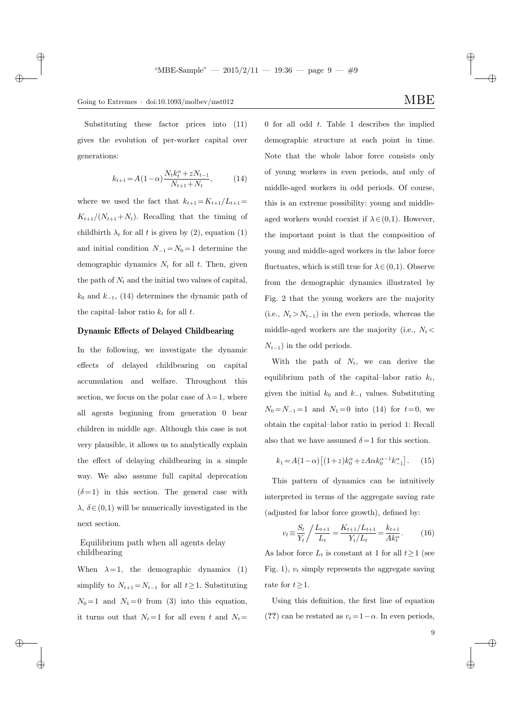$\rightarrow$ 

 $\oplus$ 

✐

Substituting these factor prices into (11) gives the evolution of per-worker capital over generations:

$$
k_{t+1} = A(1 - \alpha) \frac{N_t k_t^{\alpha} + z N_{t-1}}{N_{t+1} + N_t},
$$
 (14)

where we used the fact that  $k_{t+1} = K_{t+1}/L_{t+1} =$  $K_{t+1}/(N_{t+1}+N_t)$ . Recalling that the timing of childbirth  $\lambda_t$  for all t is given by (2), equation (1) and initial condition  $N_{-1} = N_0 = 1$  determine the demographic dynamics  $N_t$  for all t. Then, given the path of  $N_t$  and the initial two values of capital,  $k_0$  and  $k_{-1}$ , (14) determines the dynamic path of the capital–labor ratio  $k_t$  for all t.

### Dynamic Effects of Delayed Childbearing

In the following, we investigate the dynamic effects of delayed childbearing on capital accumulation and welfare. Throughout this section, we focus on the polar case of  $\lambda = 1$ , where all agents beginning from generation 0 bear children in middle age. Although this case is not very plausible, it allows us to analytically explain the effect of delaying childbearing in a simple way. We also assume full capital deprecation  $(\delta = 1)$  in this section. The general case with  $\lambda, \delta \in (0,1)$  will be numerically investigated in the next section.

## Equilibrium path when all agents delay childbearing

When  $\lambda = 1$ , the demographic dynamics (1) simplify to  $N_{t+1} = N_{t-1}$  for all  $t \geq 1$ . Substituting  $N_0 = 1$  and  $N_1 = 0$  from (3) into this equation, it turns out that  $N_t = 1$  for all even t and  $N_t =$  0 for all odd  $t$ . Table 1 describes the implied demographic structure at each point in time. Note that the whole labor force consists only of young workers in even periods, and only of middle-aged workers in odd periods. Of course, this is an extreme possibility: young and middleaged workers would coexist if  $\lambda \in (0,1)$ . However, the important point is that the composition of young and middle-aged workers in the labor force fluctuates, which is still true for  $\lambda \in (0,1)$ . Observe from the demographic dynamics illustrated by Fig. 2 that the young workers are the majority (i.e.,  $N_t > N_{t-1}$ ) in the even periods, whereas the middle-aged workers are the majority (i.e.,  $N_t$  <  $N_{t-1}$ ) in the odd periods.

With the path of  $N_t$ , we can derive the equilibrium path of the capital-labor ratio  $k_t$ , given the initial  $k_0$  and  $k_{-1}$  values. Substituting  $N_0 = N_{-1} = 1$  and  $N_1 = 0$  into (14) for  $t = 0$ , we obtain the capital–labor ratio in period 1: Recall also that we have assumed  $\delta = 1$  for this section.

$$
k_1 = A(1 - \alpha) \left[ (1 + z)k_0^{\alpha} + zA\alpha k_0^{\alpha - 1}k_{-1}^{\alpha} \right].
$$
 (15)

This pattern of dynamics can be intuitively interpreted in terms of the aggregate saving rate (adjusted for labor force growth), defined by:

$$
v_t \equiv \frac{S_t}{Y_t} / \frac{L_{t+1}}{L_t} = \frac{K_{t+1}/L_{t+1}}{Y_t / L_t} = \frac{k_{t+1}}{Ak_t^{\alpha}}.\tag{16}
$$

As labor force  $L_t$  is constant at 1 for all  $t \geq 1$  (see Fig. 1),  $v_t$  simply represents the aggregate saving rate for  $t \geq 1$ .

Using this definition, the first line of equation (??) can be restated as  $v_t = 1 - \alpha$ . In even periods,

✐

✐

✐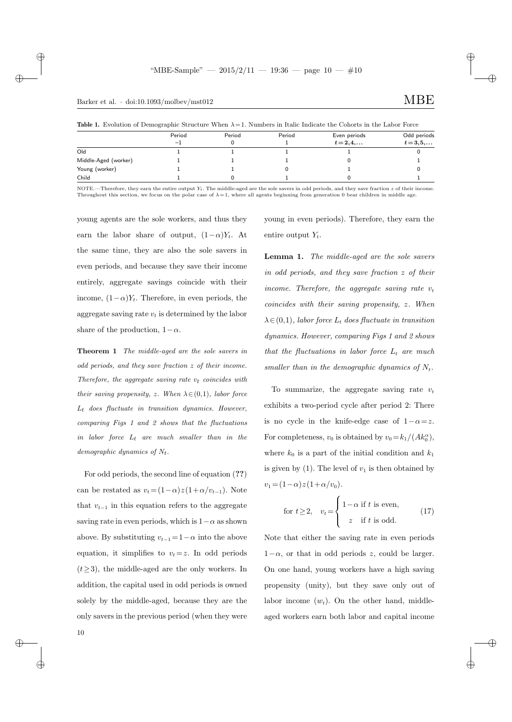$\rightarrow$ 

✐

### Table 1. Evolution of Demographic Structure When  $\lambda = 1$ . Numbers in Italic Indicate the Cohorts in the Labor Force

|                      | __                |        |        |                              |                             |
|----------------------|-------------------|--------|--------|------------------------------|-----------------------------|
|                      | Period<br>$^{-1}$ | Period | Period | Even periods<br>$t = 2, 4, $ | Odd periods<br>$t = 3, 5, $ |
| Old                  |                   |        |        |                              |                             |
| Middle-Aged (worker) |                   |        |        |                              |                             |
| Young (worker)       |                   |        |        |                              |                             |
| Child                |                   |        |        |                              |                             |

NOTE.—Therefore, they earn the entire output  $Y_t$ . The middle-aged are the sole savers in odd periods, and they save fraction z of their income. Throughout this section, we focus on the polar case of  $\lambda = 1$ , where all agents beginning from generation 0 bear children in middle age.

young agents are the sole workers, and thus they earn the labor share of output,  $(1-\alpha)Y_t$ . At the same time, they are also the sole savers in even periods, and because they save their income entirely, aggregate savings coincide with their income,  $(1-\alpha)Y_t$ . Therefore, in even periods, the aggregate saving rate  $v_t$  is determined by the labor share of the production,  $1-\alpha$ .

Theorem 1 The middle-aged are the sole savers in odd periods, and they save fraction z of their income. Therefore, the aggregate saving rate  $v_t$  coincides with their saving propensity, z. When  $\lambda \in (0,1)$ , labor force  $L_t$  does fluctuate in transition dynamics. However, comparing Figs 1 and 2 shows that the fluctuations in labor force  $L_t$  are much smaller than in the demographic dynamics of  $N_t$ .

For odd periods, the second line of equation (??) can be restated as  $v_t = (1 - \alpha)z(1 + \alpha/v_{t-1})$ . Note that  $v_{t-1}$  in this equation refers to the aggregate saving rate in even periods, which is  $1-\alpha$  as shown above. By substituting  $v_{t-1} = 1 - \alpha$  into the above equation, it simplifies to  $v_t = z$ . In odd periods  $(t\geq 3)$ , the middle-aged are the only workers. In addition, the capital used in odd periods is owned solely by the middle-aged, because they are the only savers in the previous period (when they were

young in even periods). Therefore, they earn the entire output  $Y_t$ .

✐

✐

✐

✐

Lemma 1. The middle-aged are the sole savers in odd periods, and they save fraction z of their income. Therefore, the aggregate saving rate  $v_t$ coincides with their saving propensity, z. When  $\lambda \in (0,1)$ , labor force  $L_t$  does fluctuate in transition dynamics. However, comparing Figs 1 and 2 shows that the fluctuations in labor force  $L_t$  are much smaller than in the demographic dynamics of  $N_t$ .

To summarize, the aggregate saving rate  $v_t$ exhibits a two-period cycle after period 2: There is no cycle in the knife-edge case of  $1-\alpha=z$ . For completeness,  $v_0$  is obtained by  $v_0 = k_1/(Ak_0^{\alpha})$ , where  $k_0$  is a part of the initial condition and  $k_1$ is given by  $(1)$ . The level of  $v_1$  is then obtained by  $v_1 = (1 - \alpha) z (1 + \alpha / v_0).$ 

for 
$$
t \ge 2
$$
,  $v_t = \begin{cases} 1 - \alpha & \text{if } t \text{ is even,} \\ z & \text{if } t \text{ is odd.} \end{cases}$  (17)

Note that either the saving rate in even periods  $1-\alpha$ , or that in odd periods z, could be larger. On one hand, young workers have a high saving propensity (unity), but they save only out of labor income  $(w_t)$ . On the other hand, middleaged workers earn both labor and capital income

 $\rightarrow$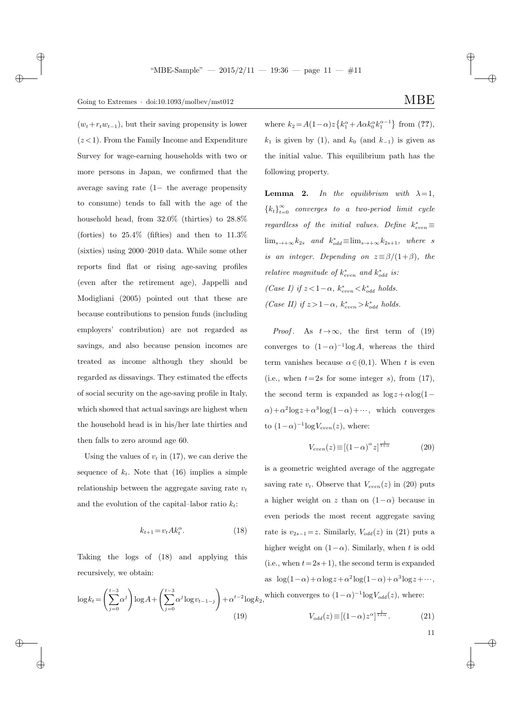## Going to Extremes  $\cdot$  doi:10.1093/molbev/mst012 MBE

 $\rightarrow$ 

 $\rightarrow$ 

 $\oplus$ 

✐

 $(w_t+r_tw_{t-1}),$  but their saving propensity is lower  $(z<1)$ . From the Family Income and Expenditure Survey for wage-earning households with two or more persons in Japan, we confirmed that the average saving rate (1− the average propensity to consume) tends to fall with the age of the household head, from 32.0% (thirties) to 28.8% (forties) to  $25.4\%$  (fifties) and then to  $11.3\%$ (sixties) using 2000–2010 data. While some other reports find flat or rising age-saving profiles (even after the retirement age), Jappelli and Modigliani (2005) pointed out that these are because contributions to pension funds (including employers' contribution) are not regarded as savings, and also because pension incomes are treated as income although they should be regarded as dissavings. They estimated the effects of social security on the age-saving profile in Italy, which showed that actual savings are highest when the household head is in his/her late thirties and then falls to zero around age 60.

Using the values of  $v_t$  in (17), we can derive the sequence of  $k_t$ . Note that (16) implies a simple relationship between the aggregate saving rate  $v_t$ and the evolution of the capital–labor ratio  $k_t$ :

$$
k_{t+1} = v_t A k_t^{\alpha}.
$$
\n<sup>(18)</sup>

Taking the logs of (18) and applying this recursively, we obtain:

$$
\log k_t = \left(\sum_{j=0}^{t-3} \alpha^j\right) \log A + \left(\sum_{j=0}^{t-3} \alpha^j \log v_{t-1-j}\right) + \alpha^{t-2} \log k \tag{19}
$$

✐

✐

where  $k_2 = A(1-\alpha)z\left\{k_1^{\alpha} + A\alpha k_0^{\alpha}k_1^{\alpha-1}\right\}$  from (??),  $k_1$  is given by (1), and  $k_0$  (and  $k_{-1}$ ) is given as the initial value. This equilibrium path has the following property.

**Lemma 2.** In the equilibrium with  $\lambda = 1$ ,  ${k_t}_{t=0}^{\infty}$  converges to a two-period limit cycle  $regardless of the initial values. Define  $k_{even}^* \equiv$$  $\lim_{s \to +\infty} k_{2s}$  and  $k_{odd}^* \equiv \lim_{s \to +\infty} k_{2s+1}$ , where s is an integer. Depending on  $z \equiv \beta/(1+\beta)$ , the *relative magnitude of*  $k_{even}^*$  and  $k_{odd}^*$  is: (Case I) if  $z < 1-\alpha$ ,  $k_{even}^* < k_{odd}^*$  holds. (Case II) if  $z > 1 - \alpha$ ,  $k_{even}^* > k_{odd}^*$  holds.

*Proof.* As  $t\rightarrow\infty$ , the first term of (19) converges to  $(1-\alpha)^{-1} \log A$ , whereas the third term vanishes because  $\alpha \in (0,1)$ . When t is even (i.e., when  $t=2s$  for some integer s), from (17), the second term is expanded as  $\log z + \alpha \log(1-\alpha)$  $\alpha$ )+ $\alpha$ <sup>2</sup>log z +  $\alpha$ <sup>3</sup>log(1- $\alpha$ )+…, which converges to  $(1-\alpha)^{-1} \log V_{even}(z)$ , where:

$$
V_{even}(z) \equiv [(1-\alpha)^{\alpha} z]^{\frac{1}{1+\alpha}} \tag{20}
$$

 $\log k_2$ , which converges to  $(1-\alpha)^{-1} \log V_{odd}(z)$ , where: is a geometric weighted average of the aggregate saving rate  $v_t$ . Observe that  $V_{even}(z)$  in (20) puts a higher weight on z than on  $(1-\alpha)$  because in even periods the most recent aggregate saving rate is  $v_{2s-1} = z$ . Similarly,  $V_{odd}(z)$  in (21) puts a higher weight on  $(1-\alpha)$ . Similarly, when t is odd (i.e., when  $t = 2s+1$ ), the second term is expanded as  $\log(1-\alpha) + \alpha \log z + \alpha^2 \log(1-\alpha) + \alpha^3 \log z + \cdots,$ 

$$
V_{odd}(z) \equiv \left[ (1 - \alpha) z^{\alpha} \right]^{\frac{1}{1 + \alpha}}.
$$
 (21)

11

✐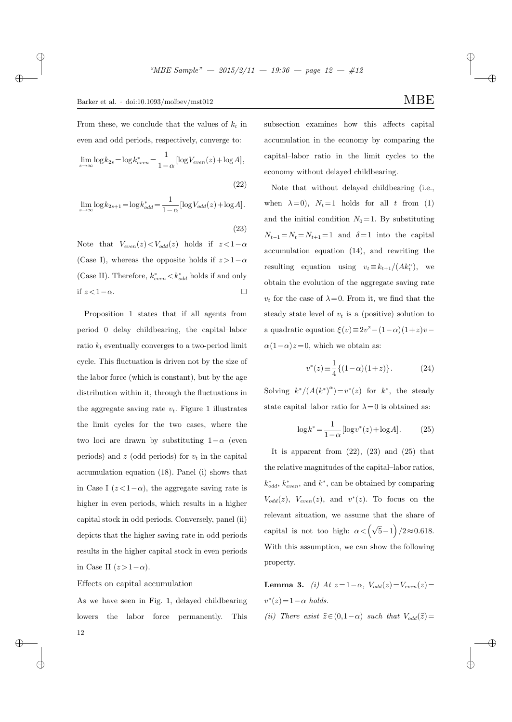$\rightarrow$ 

 $\oplus$ 

12

✐

From these, we conclude that the values of  $k_t$  in even and odd periods, respectively, converge to:

$$
\lim_{s \to \infty} \log k_{2s} = \log k_{even}^* = \frac{1}{1 - \alpha} [\log V_{even}(z) + \log A],
$$

$$
(22)
$$

$$
\lim_{s \to \infty} \log k_{2s+1} = \log k_{odd}^* = \frac{1}{1 - \alpha} [\log V_{odd}(z) + \log A].
$$

(23)

Note that  $V_{even}(z) < V_{odd}(z)$  holds if  $z < 1-\alpha$ (Case I), whereas the opposite holds if  $z > 1-\alpha$ (Case II). Therefore,  $k_{even}^* < k_{odd}^*$  holds if and only if  $z < 1 − α$ .  $□$ 

Proposition 1 states that if all agents from period 0 delay childbearing, the capital–labor ratio  $k_t$  eventually converges to a two-period limit cycle. This fluctuation is driven not by the size of the labor force (which is constant), but by the age distribution within it, through the fluctuations in the aggregate saving rate  $v_t$ . Figure 1 illustrates the limit cycles for the two cases, where the two loci are drawn by substituting  $1-\alpha$  (even periods) and  $z$  (odd periods) for  $v_t$  in the capital accumulation equation (18). Panel (i) shows that in Case I  $(z < 1-\alpha)$ , the aggregate saving rate is higher in even periods, which results in a higher capital stock in odd periods. Conversely, panel (ii) depicts that the higher saving rate in odd periods results in the higher capital stock in even periods in Case II  $(z>1-\alpha)$ .

Effects on capital accumulation

As we have seen in Fig. 1, delayed childbearing lowers the labor force permanently. This subsection examines how this affects capital accumulation in the economy by comparing the capital–labor ratio in the limit cycles to the economy without delayed childbearing.

Note that without delayed childbearing (i.e., when  $\lambda = 0$ ),  $N_t = 1$  holds for all t from (1) and the initial condition  $N_0 = 1$ . By substituting  $N_{t-1} = N_t = N_{t+1} = 1$  and  $\delta = 1$  into the capital accumulation equation (14), and rewriting the resulting equation using  $v_t \equiv k_{t+1}/(Ak_t^{\alpha})$ , we obtain the evolution of the aggregate saving rate  $v_t$  for the case of  $\lambda = 0$ . From it, we find that the steady state level of  $v_t$  is a (positive) solution to a quadratic equation  $\xi(v) \equiv 2v^2 - (1-\alpha)(1+z)v \alpha(1-\alpha)z=0$ , which we obtain as:

$$
v^*(z) \equiv \frac{1}{4} \{ (1 - \alpha)(1 + z) \}.
$$
 (24)

Solving  $k^*/(A(k^*)^{\alpha}) = v^*(z)$  for  $k^*$ , the steady state capital–labor ratio for  $\lambda = 0$  is obtained as:

$$
\log k^* = \frac{1}{1-\alpha} [\log v^*(z) + \log A]. \tag{25}
$$

It is apparent from  $(22)$ ,  $(23)$  and  $(25)$  that the relative magnitudes of the capital–labor ratios,  $k_{odd}^*$ ,  $k_{even}^*$ , and  $k^*$ , can be obtained by comparing  $V_{odd}(z)$ ,  $V_{even}(z)$ , and  $v^*(z)$ . To focus on the relevant situation, we assume that the share of capital is not too high:  $\alpha < (\sqrt{5}-1)/2 \approx 0.618$ . With this assumption, we can show the following property.

**Lemma 3.** (i) At  $z = 1 - \alpha$ ,  $V_{odd}(z) = V_{even}(z)$ =  $v^*(z) = 1 - \alpha$  holds.

(ii) There exist  $\hat{z}\in(0,1-\alpha)$  such that  $V_{odd}(\hat{z})=$ 

✐

✐

✐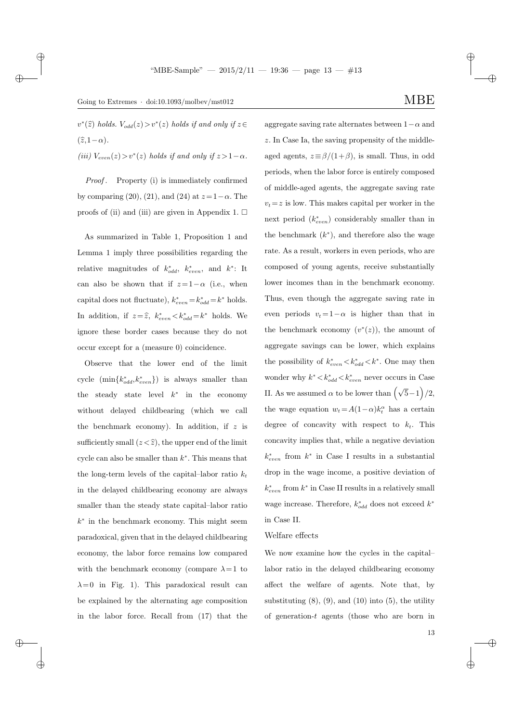$v^*(\widehat{z})$  holds.  $V_{odd}(z) > v^*(z)$  holds if and only if  $z \in$  $(\widehat{z}, 1-\alpha)$ .

(iii)  $V_{even}(z) > v^*(z)$  holds if and only if  $z > 1-\alpha$ .

Proof. Property (i) is immediately confirmed by comparing (20), (21), and (24) at  $z=1-\alpha$ . The proofs of (ii) and (iii) are given in Appendix 1.  $\Box$ 

As summarized in Table 1, Proposition 1 and Lemma 1 imply three possibilities regarding the relative magnitudes of  $k_{odd}^*$ ,  $k_{even}^*$ , and  $k^*$ : It can also be shown that if  $z=1-\alpha$  (i.e., when capital does not fluctuate),  $k_{even}^* = k_{odd}^* = k^*$  holds. In addition, if  $z = \hat{z}$ ,  $k_{even}^* < k_{odd}^* = k^*$  holds. We ignore these border cases because they do not occur except for a (measure 0) coincidence.

Observe that the lower end of the limit cycle  $(\min\{k_{odd}^*, k_{even}^*\})$  is always smaller than the steady state level  $k^*$  in the economy without delayed childbearing (which we call the benchmark economy). In addition, if  $z$  is sufficiently small  $(z<\widehat{z})$ , the upper end of the limit cycle can also be smaller than  $k^*$ . This means that the long-term levels of the capital–labor ratio  $k_t$ in the delayed childbearing economy are always smaller than the steady state capital–labor ratio k ∗ in the benchmark economy. This might seem paradoxical, given that in the delayed childbearing economy, the labor force remains low compared with the benchmark economy (compare  $\lambda = 1$  to  $\lambda = 0$  in Fig. 1). This paradoxical result can be explained by the alternating age composition in the labor force. Recall from (17) that the

aggregate saving rate alternates between  $1-\alpha$  and z. In Case Ia, the saving propensity of the middleaged agents,  $z \equiv \frac{\beta}{1+\beta}$ , is small. Thus, in odd periods, when the labor force is entirely composed of middle-aged agents, the aggregate saving rate  $v_t = z$  is low. This makes capital per worker in the next period  $(k_{even}^*)$  considerably smaller than in the benchmark  $(k^*)$ , and therefore also the wage rate. As a result, workers in even periods, who are composed of young agents, receive substantially lower incomes than in the benchmark economy. Thus, even though the aggregate saving rate in even periods  $v_t = 1-\alpha$  is higher than that in the benchmark economy  $(v^*(z))$ , the amount of aggregate savings can be lower, which explains the possibility of  $k_{even}^* < k_{odd}^* < k^*$ . One may then wonder why  $k^* < k^*_{odd} < k^*_{even}$  never occurs in Case II. As we assumed  $\alpha$  to be lower than  $(\sqrt{5}-1)/2$ , the wage equation  $w_t = A(1-\alpha)k_t^{\alpha}$  has a certain degree of concavity with respect to  $k_t$ . This

concavity implies that, while a negative deviation  $k_{even}^*$  from  $k^*$  in Case I results in a substantial drop in the wage income, a positive deviation of  $k_{even}^*$  from  $k^*$  in Case II results in a relatively small wage increase. Therefore,  $k_{odd}^*$  does not exceed  $k^*$ in Case II.

#### Welfare effects

We now examine how the cycles in the capital– labor ratio in the delayed childbearing economy affect the welfare of agents. Note that, by substituting  $(8)$ ,  $(9)$ , and  $(10)$  into  $(5)$ , the utility of generation-t agents (those who are born in

✐

✐

 $\rightarrow$ 

 $\rightarrow$ 

✐

13

✐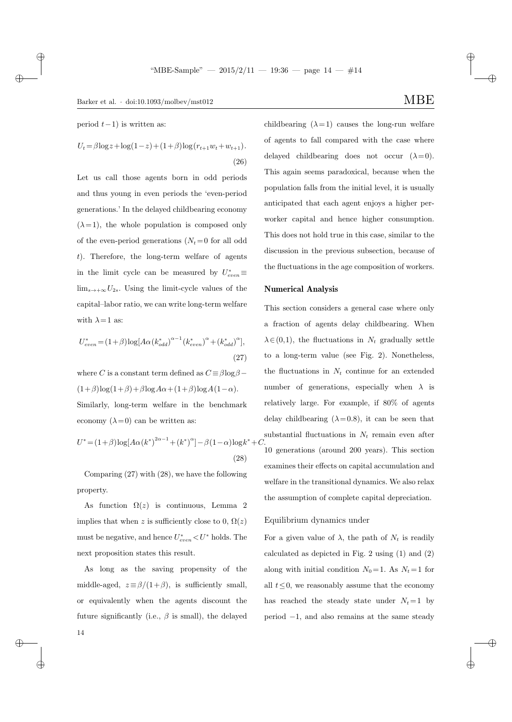period  $t-1$ ) is written as:

 $\rightarrow$ 

✐

$$
U_t = \beta \log z + \log(1 - z) + (1 + \beta) \log(r_{t+1}w_t + w_{t+1}).
$$
\n(26)

Let us call those agents born in odd periods and thus young in even periods the 'even-period generations.' In the delayed childbearing economy  $(\lambda = 1)$ , the whole population is composed only of the even-period generations  $(N_t = 0$  for all odd t). Therefore, the long-term welfare of agents in the limit cycle can be measured by  $U_{even}^* \equiv$  $\lim_{s\to+\infty}U_{2s}$ . Using the limit-cycle values of the capital–labor ratio, we can write long-term welfare with  $\lambda = 1$  as:

$$
U_{even}^{*} = (1+\beta)\log[A\alpha(k_{odd}^{*})^{\alpha-1}(k_{even}^{*})^{\alpha} + (k_{odd}^{*})^{\alpha}],
$$
\n(27)

where C is a constant term defined as  $C \equiv \beta \log \beta$  $(1+\beta)\log(1+\beta)+\beta\log A\alpha+(1+\beta)\log A(1-\alpha).$ Similarly, long-term welfare in the benchmark economy  $(\lambda = 0)$  can be written as:

$$
U^* = (1+\beta)\log[A\alpha(k^*)^{2\alpha-1} + (k^*)^{\alpha}] - \beta(1-\alpha)\log k^* +
$$
\n(28)

Comparing (27) with (28), we have the following property.

As function  $\Omega(z)$  is continuous, Lemma 2 implies that when z is sufficiently close to 0,  $\Omega(z)$ must be negative, and hence  $U^*_{even} < U^*$  holds. The next proposition states this result.

As long as the saving propensity of the middle-aged,  $z \equiv \beta/(1+\beta)$ , is sufficiently small, or equivalently when the agents discount the future significantly (i.e.,  $\beta$  is small), the delayed childbearing  $(\lambda = 1)$  causes the long-run welfare of agents to fall compared with the case where delayed childbearing does not occur  $(\lambda = 0)$ . This again seems paradoxical, because when the population falls from the initial level, it is usually anticipated that each agent enjoys a higher perworker capital and hence higher consumption. This does not hold true in this case, similar to the discussion in the previous subsection, because of the fluctuations in the age composition of workers.

### Numerical Analysis

<sup>∗</sup>+C.

This section considers a general case where only a fraction of agents delay childbearing. When  $\lambda \in (0,1)$ , the fluctuations in  $N_t$  gradually settle to a long-term value (see Fig. 2). Nonetheless, the fluctuations in  $N_t$  continue for an extended number of generations, especially when  $\lambda$  is relatively large. For example, if 80% of agents delay childbearing  $(\lambda = 0.8)$ , it can be seen that substantial fluctuations in  $N_t$  remain even after 10 generations (around 200 years). This section examines their effects on capital accumulation and welfare in the transitional dynamics. We also relax the assumption of complete capital depreciation.

### Equilibrium dynamics under

For a given value of  $\lambda$ , the path of  $N_t$  is readily calculated as depicted in Fig. 2 using (1) and (2) along with initial condition  $N_0 = 1$ . As  $N_t = 1$  for all  $t \leq 0$ , we reasonably assume that the economy has reached the steady state under  $N_t = 1$  by period −1, and also remains at the same steady

✐

✐

✐

✐

14

 $\oplus$ 

 $\rightarrow$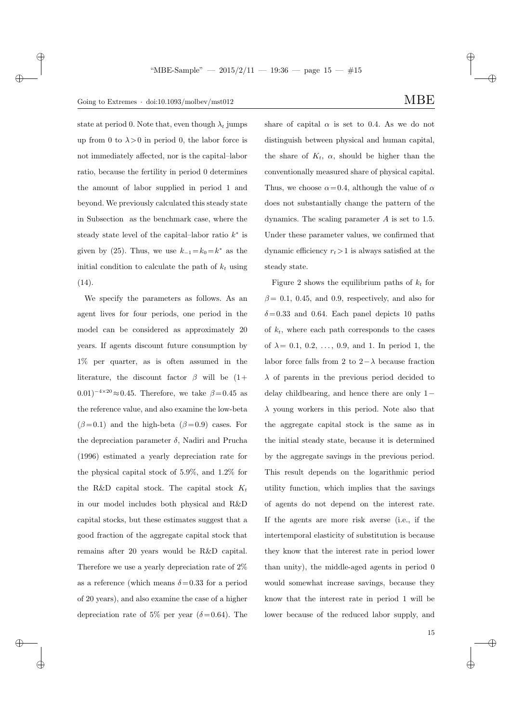## Going to Extremes · doi:10.1093/molbev/mst012  $\text{MBE}$

 $\rightarrow$ 

 $\rightarrow$ 

 $\oplus$ 

✐

state at period 0. Note that, even though  $\lambda_t$  jumps up from 0 to  $\lambda > 0$  in period 0, the labor force is not immediately affected, nor is the capital–labor ratio, because the fertility in period 0 determines the amount of labor supplied in period 1 and beyond. We previously calculated this steady state in Subsection as the benchmark case, where the steady state level of the capital–labor ratio  $k^*$  is given by (25). Thus, we use  $k_{-1} = k_0 = k^*$  as the initial condition to calculate the path of  $k_t$  using (14).

We specify the parameters as follows. As an agent lives for four periods, one period in the model can be considered as approximately 20 years. If agents discount future consumption by 1% per quarter, as is often assumed in the literature, the discount factor  $\beta$  will be  $(1+$  $(0.01)^{-4 \times 20} \approx 0.45$ . Therefore, we take  $\beta = 0.45$  as the reference value, and also examine the low-beta  $(\beta = 0.1)$  and the high-beta  $(\beta = 0.9)$  cases. For the depreciation parameter  $\delta$ , Nadiri and Prucha (1996) estimated a yearly depreciation rate for the physical capital stock of 5.9%, and 1.2% for the R&D capital stock. The capital stock  $K_t$ in our model includes both physical and R&D capital stocks, but these estimates suggest that a good fraction of the aggregate capital stock that remains after 20 years would be R&D capital. Therefore we use a yearly depreciation rate of 2% as a reference (which means  $\delta = 0.33$  for a period of 20 years), and also examine the case of a higher depreciation rate of 5% per year ( $\delta$ =0.64). The share of capital  $\alpha$  is set to 0.4. As we do not distinguish between physical and human capital, the share of  $K_t$ ,  $\alpha$ , should be higher than the conventionally measured share of physical capital. Thus, we choose  $\alpha = 0.4$ , although the value of  $\alpha$ does not substantially change the pattern of the dynamics. The scaling parameter  $A$  is set to 1.5. Under these parameter values, we confirmed that

dynamic efficiency  $r_t > 1$  is always satisfied at the

steady state.

Figure 2 shows the equilibrium paths of  $k_t$  for  $\beta = 0.1, 0.45,$  and 0.9, respectively, and also for  $\delta = 0.33$  and 0.64. Each panel depicts 10 paths of  $k_t$ , where each path corresponds to the cases of  $\lambda = 0.1, 0.2, ..., 0.9,$  and 1. In period 1, the labor force falls from 2 to  $2-\lambda$  because fraction  $\lambda$  of parents in the previous period decided to delay childbearing, and hence there are only 1−  $\lambda$  young workers in this period. Note also that the aggregate capital stock is the same as in the initial steady state, because it is determined by the aggregate savings in the previous period. This result depends on the logarithmic period utility function, which implies that the savings of agents do not depend on the interest rate. If the agents are more risk averse (i.e., if the intertemporal elasticity of substitution is because they know that the interest rate in period lower than unity), the middle-aged agents in period 0 would somewhat increase savings, because they know that the interest rate in period 1 will be lower because of the reduced labor supply, and ✐

✐

✐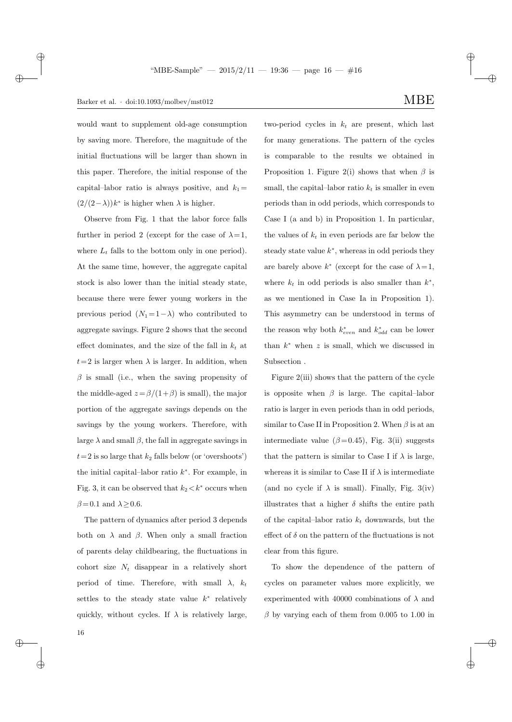$\rightarrow$ 

✐

would want to supplement old-age consumption by saving more. Therefore, the magnitude of the initial fluctuations will be larger than shown in this paper. Therefore, the initial response of the capital–labor ratio is always positive, and  $k_1 =$  $\left(\frac{2}{2-\lambda}\right)k^*$  is higher when  $\lambda$  is higher.

Observe from Fig. 1 that the labor force falls further in period 2 (except for the case of  $\lambda = 1$ , where  $L_t$  falls to the bottom only in one period). At the same time, however, the aggregate capital stock is also lower than the initial steady state, because there were fewer young workers in the previous period  $(N_1 = 1 - \lambda)$  who contributed to aggregate savings. Figure 2 shows that the second effect dominates, and the size of the fall in  $k_t$  at  $t=2$  is larger when  $\lambda$  is larger. In addition, when  $\beta$  is small (i.e., when the saving propensity of the middle-aged  $z = \frac{\beta}{1+\beta}$  is small), the major portion of the aggregate savings depends on the savings by the young workers. Therefore, with large  $\lambda$  and small  $\beta$ , the fall in aggregate savings in  $t=2$  is so large that  $k_2$  falls below (or 'overshoots') the initial capital–labor ratio  $k^*$ . For example, in Fig. 3, it can be observed that  $k_2 < k^*$  occurs when  $\beta\!=\!0.1$  and  $\lambda\!\geq\!0.6.$ 

The pattern of dynamics after period 3 depends both on  $\lambda$  and  $\beta$ . When only a small fraction of parents delay childbearing, the fluctuations in cohort size  $N_t$  disappear in a relatively short period of time. Therefore, with small  $\lambda$ ,  $k_t$ settles to the steady state value  $k^*$  relatively quickly, without cycles. If  $\lambda$  is relatively large, two-period cycles in  $k_t$  are present, which last for many generations. The pattern of the cycles is comparable to the results we obtained in Proposition 1. Figure 2(i) shows that when  $\beta$  is small, the capital-labor ratio  $k_t$  is smaller in even periods than in odd periods, which corresponds to Case I (a and b) in Proposition 1. In particular, the values of  $k_t$  in even periods are far below the steady state value  $k^*$ , whereas in odd periods they are barely above  $k^*$  (except for the case of  $\lambda = 1$ , where  $k_t$  in odd periods is also smaller than  $k^*$ , as we mentioned in Case Ia in Proposition 1). This asymmetry can be understood in terms of the reason why both  $k_{even}^*$  and  $k_{odd}^*$  can be lower than  $k^*$  when z is small, which we discussed in Subsection .

Figure 2(iii) shows that the pattern of the cycle is opposite when  $\beta$  is large. The capital–labor ratio is larger in even periods than in odd periods, similar to Case II in Proposition 2. When  $\beta$  is at an intermediate value ( $\beta$ =0.45), Fig. 3(ii) suggests that the pattern is similar to Case I if  $\lambda$  is large, whereas it is similar to Case II if  $\lambda$  is intermediate (and no cycle if  $\lambda$  is small). Finally, Fig. 3(iv) illustrates that a higher  $\delta$  shifts the entire path of the capital–labor ratio  $k_t$  downwards, but the effect of  $\delta$  on the pattern of the fluctuations is not clear from this figure.

To show the dependence of the pattern of cycles on parameter values more explicitly, we experimented with 40000 combinations of  $\lambda$  and  $\beta$  by varying each of them from 0.005 to 1.00 in

✐

✐

 $\rightarrow$ 

 $\oplus$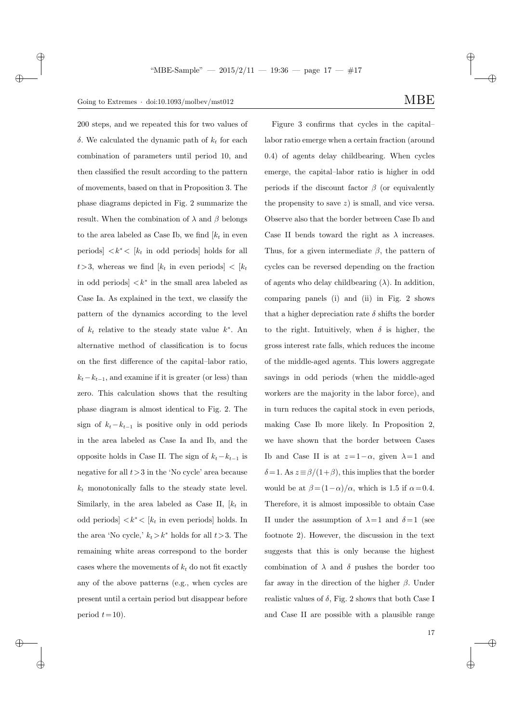## Going to Extremes · doi:10.1093/molbev/mst012  $\text{MBE}$

 $\rightarrow$ 

 $\rightarrow$ 

 $\oplus$ 

✐

200 steps, and we repeated this for two values of δ. We calculated the dynamic path of  $k_t$  for each combination of parameters until period 10, and then classified the result according to the pattern of movements, based on that in Proposition 3. The phase diagrams depicted in Fig. 2 summarize the result. When the combination of  $\lambda$  and  $\beta$  belongs to the area labeled as Case Ib, we find  $[k_t]$  in even periods]  $\langle k^* \rangle$  [ $k_t$  in odd periods] holds for all  $t > 3$ , whereas we find  $[k_t \text{ in even periods}] < [k_t]$ in odd periods  $\vert \langle k^* \rangle$  in the small area labeled as Case Ia. As explained in the text, we classify the pattern of the dynamics according to the level of  $k_t$  relative to the steady state value  $k^*$ . An alternative method of classification is to focus on the first difference of the capital–labor ratio,  $k_t-k_{t-1}$ , and examine if it is greater (or less) than zero. This calculation shows that the resulting phase diagram is almost identical to Fig. 2. The sign of  $k_t - k_{t-1}$  is positive only in odd periods in the area labeled as Case Ia and Ib, and the opposite holds in Case II. The sign of  $k_t - k_{t-1}$  is negative for all  $t>3$  in the 'No cycle' area because  $k_t$  monotonically falls to the steady state level. Similarly, in the area labeled as Case II,  $[k_t]$  in odd periods]  $\langle k^* \rangle$  [ $k_t$  in even periods] holds. In the area 'No cycle,'  $k_t > k^*$  holds for all  $t > 3$ . The remaining white areas correspond to the border cases where the movements of  $k_t$  do not fit exactly any of the above patterns (e.g., when cycles are present until a certain period but disappear before period  $t = 10$ ).

✐

✐

Figure 3 confirms that cycles in the capital– labor ratio emerge when a certain fraction (around 0.4) of agents delay childbearing. When cycles emerge, the capital–labor ratio is higher in odd periods if the discount factor  $\beta$  (or equivalently the propensity to save  $z$ ) is small, and vice versa. Observe also that the border between Case Ib and Case II bends toward the right as  $\lambda$  increases. Thus, for a given intermediate  $\beta$ , the pattern of cycles can be reversed depending on the fraction of agents who delay childbearing  $(\lambda)$ . In addition, comparing panels (i) and (ii) in Fig. 2 shows that a higher depreciation rate  $\delta$  shifts the border to the right. Intuitively, when  $\delta$  is higher, the gross interest rate falls, which reduces the income of the middle-aged agents. This lowers aggregate savings in odd periods (when the middle-aged workers are the majority in the labor force), and in turn reduces the capital stock in even periods, making Case Ib more likely. In Proposition 2, we have shown that the border between Cases Ib and Case II is at  $z=1-\alpha$ , given  $\lambda=1$  and δ= 1. As  $z \equiv \beta/(1+\beta)$ , this implies that the border would be at  $\beta = (1 - \alpha)/\alpha$ , which is 1.5 if  $\alpha = 0.4$ . Therefore, it is almost impossible to obtain Case II under the assumption of  $\lambda = 1$  and  $\delta = 1$  (see footnote 2). However, the discussion in the text suggests that this is only because the highest combination of  $\lambda$  and  $\delta$  pushes the border too far away in the direction of the higher  $\beta$ . Under realistic values of  $\delta$ , Fig. 2 shows that both Case I and Case II are possible with a plausible range

17

✐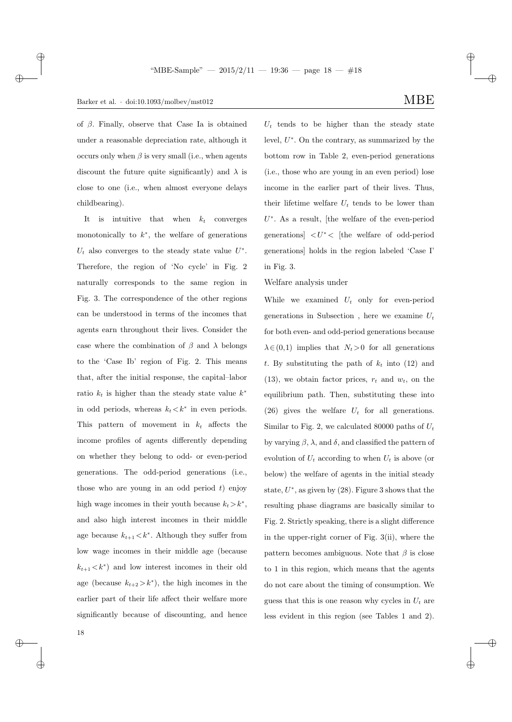$\rightarrow$ 

✐

of  $\beta$ . Finally, observe that Case Ia is obtained under a reasonable depreciation rate, although it occurs only when  $\beta$  is very small (i.e., when agents discount the future quite significantly) and  $\lambda$  is close to one (i.e., when almost everyone delays childbearing).

It is intuitive that when  $k_t$  converges monotonically to  $k^*$ , the welfare of generations  $U_t$  also converges to the steady state value  $U^*$ . Therefore, the region of 'No cycle' in Fig. 2 naturally corresponds to the same region in Fig. 3. The correspondence of the other regions can be understood in terms of the incomes that agents earn throughout their lives. Consider the case where the combination of  $\beta$  and  $\lambda$  belongs to the 'Case Ib' region of Fig. 2. This means that, after the initial response, the capital–labor ratio  $k_t$  is higher than the steady state value  $k^*$ in odd periods, whereas  $k_t < k^*$  in even periods. This pattern of movement in  $k_t$  affects the income profiles of agents differently depending on whether they belong to odd- or even-period generations. The odd-period generations (i.e., those who are young in an odd period  $t$ ) enjoy high wage incomes in their youth because  $k_t > k^*$ , and also high interest incomes in their middle age because  $k_{t+1} < k^*$ . Although they suffer from low wage incomes in their middle age (because  $k_{t+1} < k^*$  and low interest incomes in their old age (because  $k_{t+2} > k^*$ ), the high incomes in the earlier part of their life affect their welfare more significantly because of discounting, and hence

✐

✐

 $U_t$  tends to be higher than the steady state level,  $U^*$ . On the contrary, as summarized by the bottom row in Table 2, even-period generations (i.e., those who are young in an even period) lose income in the earlier part of their lives. Thus, their lifetime welfare  $U_t$  tends to be lower than  $U^*$ . As a result, [the welfare of the even-period generations  $\vert U^* \vert$  the welfare of odd-period generations] holds in the region labeled 'Case I' in Fig. 3.

Welfare analysis under

While we examined  $U_t$  only for even-period generations in Subsection, here we examine  $U_t$ for both even- and odd-period generations because  $\lambda \in (0,1)$  implies that  $N_t > 0$  for all generations t. By substituting the path of  $k_t$  into (12) and  $(13)$ , we obtain factor prices,  $r_t$  and  $w_t$ , on the equilibrium path. Then, substituting these into (26) gives the welfare  $U_t$  for all generations. Similar to Fig. 2, we calculated 80000 paths of  $U_t$ by varying  $\beta$ ,  $\lambda$ , and  $\delta$ , and classified the pattern of evolution of  $U_t$  according to when  $U_t$  is above (or below) the welfare of agents in the initial steady state,  $U^*$ , as given by  $(28)$ . Figure 3 shows that the resulting phase diagrams are basically similar to Fig. 2. Strictly speaking, there is a slight difference in the upper-right corner of Fig. 3(ii), where the pattern becomes ambiguous. Note that  $\beta$  is close to 1 in this region, which means that the agents do not care about the timing of consumption. We guess that this is one reason why cycles in  $U_t$  are less evident in this region (see Tables 1 and 2).

18

 $\rightarrow$ 

 $\oplus$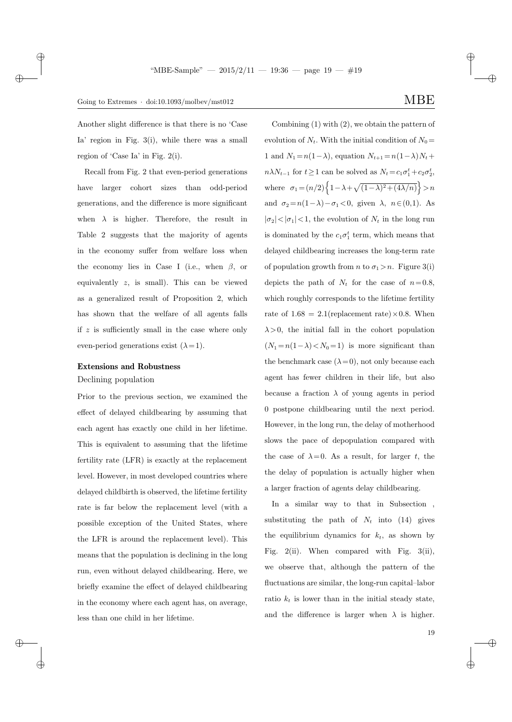$\rightarrow$ 

 $\oplus$ 

✐

Another slight difference is that there is no 'Case Ia' region in Fig. 3(i), while there was a small region of 'Case Ia' in Fig. 2(i).

Recall from Fig. 2 that even-period generations have larger cohort sizes than odd-period generations, and the difference is more significant when  $\lambda$  is higher. Therefore, the result in Table 2 suggests that the majority of agents in the economy suffer from welfare loss when the economy lies in Case I (i.e., when  $\beta$ , or equivalently z, is small). This can be viewed as a generalized result of Proposition 2, which has shown that the welfare of all agents falls if  $z$  is sufficiently small in the case where only even-period generations exist  $(\lambda = 1)$ .

#### Extensions and Robustness

Declining population

Prior to the previous section, we examined the effect of delayed childbearing by assuming that each agent has exactly one child in her lifetime. This is equivalent to assuming that the lifetime fertility rate (LFR) is exactly at the replacement level. However, in most developed countries where delayed childbirth is observed, the lifetime fertility rate is far below the replacement level (with a possible exception of the United States, where the LFR is around the replacement level). This means that the population is declining in the long run, even without delayed childbearing. Here, we briefly examine the effect of delayed childbearing in the economy where each agent has, on average, less than one child in her lifetime.

✐

✐

Combining (1) with (2), we obtain the pattern of evolution of  $N_t$ . With the initial condition of  $N_0 =$ 1 and  $N_1 = n(1 - \lambda)$ , equation  $N_{t+1} = n(1 - \lambda)N_t +$  $n\lambda N_{t-1}$  for  $t \ge 1$  can be solved as  $N_t = c_1 \sigma_1^t + c_2 \sigma_2^t$ , where  $\sigma_1 = (n/2) \left\{ 1 - \lambda + \sqrt{(1-\lambda)^2 + (4\lambda/n)} \right\} > n$ and  $\sigma_2 = n(1-\lambda) - \sigma_1 < 0$ , given  $\lambda$ ,  $n \in (0,1)$ . As  $|\sigma_2|<|\sigma_1|<1$ , the evolution of  $N_t$  in the long run is dominated by the  $c_1 \sigma_1^t$  term, which means that delayed childbearing increases the long-term rate of population growth from *n* to  $\sigma_1 > n$ . Figure 3(i) depicts the path of  $N_t$  for the case of  $n=0.8$ , which roughly corresponds to the lifetime fertility rate of  $1.68 = 2.1$ (replacement rate) × 0.8. When  $\lambda > 0$ , the initial fall in the cohort population  $(N_1 = n(1 - \lambda) < N_0 = 1)$  is more significant than the benchmark case  $(\lambda = 0)$ , not only because each agent has fewer children in their life, but also because a fraction  $\lambda$  of young agents in period 0 postpone childbearing until the next period. However, in the long run, the delay of motherhood slows the pace of depopulation compared with the case of  $\lambda = 0$ . As a result, for larger t, the the delay of population is actually higher when a larger fraction of agents delay childbearing.

In a similar way to that in Subsection , substituting the path of  $N_t$  into (14) gives the equilibrium dynamics for  $k_t$ , as shown by Fig. 2(ii). When compared with Fig. 3(ii), we observe that, although the pattern of the fluctuations are similar, the long-run capital–labor ratio  $k_t$  is lower than in the initial steady state, and the difference is larger when  $\lambda$  is higher.

19

✐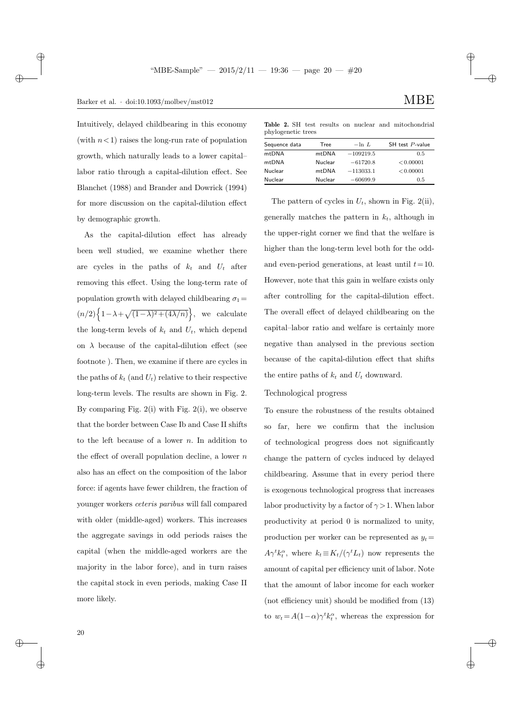## Barker et al.  $\cdot$  doi:10.1093/molbev/mst012 MBE

Intuitively, delayed childbearing in this economy (with  $n<1$ ) raises the long-run rate of population growth, which naturally leads to a lower capital– labor ratio through a capital-dilution effect. See Blanchet (1988) and Brander and Dowrick (1994) for more discussion on the capital-dilution effect by demographic growth.

As the capital-dilution effect has already been well studied, we examine whether there are cycles in the paths of  $k_t$  and  $U_t$  after removing this effect. Using the long-term rate of population growth with delayed childbearing  $\sigma_1 =$  $(n/2)\left\{1-\lambda+\sqrt{(1-\lambda)^2+(4\lambda/n)}\right\}$ , we calculate the long-term levels of  $k_t$  and  $U_t$ , which depend on  $\lambda$  because of the capital-dilution effect (see footnote ). Then, we examine if there are cycles in the paths of  $k_t$  (and  $U_t$ ) relative to their respective long-term levels. The results are shown in Fig. 2. By comparing Fig.  $2(i)$  with Fig.  $2(i)$ , we observe that the border between Case Ib and Case II shifts to the left because of a lower  $n$ . In addition to the effect of overall population decline, a lower  $n$ also has an effect on the composition of the labor force: if agents have fewer children, the fraction of younger workers ceteris paribus will fall compared with older (middle-aged) workers. This increases the aggregate savings in odd periods raises the capital (when the middle-aged workers are the majority in the labor force), and in turn raises the capital stock in even periods, making Case II more likely.

✐

✐

Table 2. SH test results on nuclear and mitochondrial phylogenetic trees

| Sequence data | Tree    | $-\ln L$    | SH test P-value |
|---------------|---------|-------------|-----------------|
| mtDNA         | mtDNA   | $-109219.5$ | 0.5             |
| mtDNA         | Nuclear | $-61720.8$  | < 0.00001       |
| Nuclear       | mtDNA   | $-113033.1$ | < 0.00001       |
| Nuclear       | Nuclear | $-60699.9$  | 0.5             |
|               |         |             |                 |

The pattern of cycles in  $U_t$ , shown in Fig. 2(ii), generally matches the pattern in  $k_t$ , although in the upper-right corner we find that the welfare is higher than the long-term level both for the oddand even-period generations, at least until  $t=10$ . However, note that this gain in welfare exists only after controlling for the capital-dilution effect. The overall effect of delayed childbearing on the capital–labor ratio and welfare is certainly more negative than analysed in the previous section because of the capital-dilution effect that shifts the entire paths of  $k_t$  and  $U_t$  downward.

### Technological progress

To ensure the robustness of the results obtained so far, here we confirm that the inclusion of technological progress does not significantly change the pattern of cycles induced by delayed childbearing. Assume that in every period there is exogenous technological progress that increases labor productivity by a factor of  $\gamma > 1$ . When labor productivity at period 0 is normalized to unity, production per worker can be represented as  $y_t =$  $A\gamma^t k_t^{\alpha}$ , where  $k_t \equiv K_t/(\gamma^t L_t)$  now represents the amount of capital per efficiency unit of labor. Note that the amount of labor income for each worker (not efficiency unit) should be modified from (13) to  $w_t = A(1-\alpha)\gamma^t k_t^{\alpha}$ , whereas the expression for

 $\rightarrow$ 

 $\oplus$ 

✐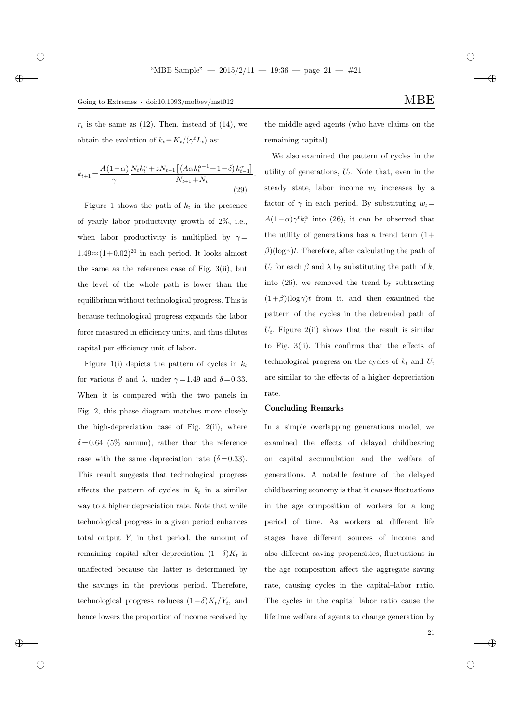.

 $r_t$  is the same as (12). Then, instead of (14), we obtain the evolution of  $k_t \equiv K_t/(\gamma^t L_t)$  as:

 $\rightarrow$ 

 $\rightarrow$ 

 $\oplus$ 

✐

$$
k_{t+1} = \frac{A(1-\alpha)}{\gamma} \frac{N_t k_t^{\alpha} + z N_{t-1} \left[ \left( A \alpha k_t^{\alpha-1} + 1 - \delta \right) k_{t-1}^{\alpha} \right]}{N_{t+1} + N_t}
$$
\n(29)

Figure 1 shows the path of  $k_t$  in the presence of yearly labor productivity growth of 2%, i.e., when labor productivity is multiplied by  $\gamma =$  $1.49 \approx (1+0.02)^{20}$  in each period. It looks almost the same as the reference case of Fig. 3(ii), but the level of the whole path is lower than the equilibrium without technological progress. This is because technological progress expands the labor force measured in efficiency units, and thus dilutes capital per efficiency unit of labor.

Figure 1(i) depicts the pattern of cycles in  $k_t$ for various  $\beta$  and  $\lambda$ , under  $\gamma = 1.49$  and  $\delta = 0.33$ . When it is compared with the two panels in Fig. 2, this phase diagram matches more closely the high-depreciation case of Fig. 2(ii), where  $\delta = 0.64$  (5% annum), rather than the reference case with the same depreciation rate  $(\delta = 0.33)$ . This result suggests that technological progress affects the pattern of cycles in  $k_t$  in a similar way to a higher depreciation rate. Note that while technological progress in a given period enhances total output  $Y_t$  in that period, the amount of remaining capital after depreciation  $(1-\delta)K_t$  is unaffected because the latter is determined by the savings in the previous period. Therefore, technological progress reduces  $(1-\delta)K_t/Y_t$ , and hence lowers the proportion of income received by

the middle-aged agents (who have claims on the remaining capital).

We also examined the pattern of cycles in the utility of generations,  $U_t$ . Note that, even in the steady state, labor income  $w_t$  increases by a factor of  $\gamma$  in each period. By substituting  $w_t =$  $A(1-\alpha)\gamma^t k_t^{\alpha}$  into (26), it can be observed that the utility of generations has a trend term  $(1+$  $\beta$ )(log $\gamma$ )t. Therefore, after calculating the path of  $U_t$  for each  $\beta$  and  $\lambda$  by substituting the path of  $k_t$ into (26), we removed the trend by subtracting  $(1+\beta)(\log \gamma)t$  from it, and then examined the pattern of the cycles in the detrended path of  $U_t$ . Figure 2(ii) shows that the result is similar to Fig. 3(ii). This confirms that the effects of technological progress on the cycles of  $k_t$  and  $U_t$ are similar to the effects of a higher depreciation rate.

#### Concluding Remarks

In a simple overlapping generations model, we examined the effects of delayed childbearing on capital accumulation and the welfare of generations. A notable feature of the delayed childbearing economy is that it causes fluctuations in the age composition of workers for a long period of time. As workers at different life stages have different sources of income and also different saving propensities, fluctuations in the age composition affect the aggregate saving rate, causing cycles in the capital–labor ratio. The cycles in the capital–labor ratio cause the lifetime welfare of agents to change generation by

✐

✐

21

✐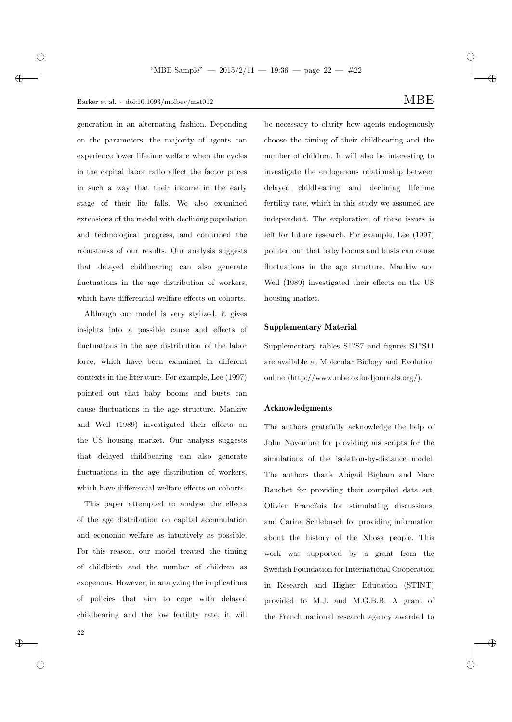$\rightarrow$ 

✐

generation in an alternating fashion. Depending on the parameters, the majority of agents can experience lower lifetime welfare when the cycles in the capital–labor ratio affect the factor prices in such a way that their income in the early stage of their life falls. We also examined extensions of the model with declining population and technological progress, and confirmed the robustness of our results. Our analysis suggests that delayed childbearing can also generate fluctuations in the age distribution of workers, which have differential welfare effects on cohorts.

Although our model is very stylized, it gives insights into a possible cause and effects of fluctuations in the age distribution of the labor force, which have been examined in different contexts in the literature. For example, Lee (1997) pointed out that baby booms and busts can cause fluctuations in the age structure. Mankiw and Weil (1989) investigated their effects on the US housing market. Our analysis suggests that delayed childbearing can also generate fluctuations in the age distribution of workers, which have differential welfare effects on cohorts.

This paper attempted to analyse the effects of the age distribution on capital accumulation and economic welfare as intuitively as possible. For this reason, our model treated the timing of childbirth and the number of children as exogenous. However, in analyzing the implications of policies that aim to cope with delayed childbearing and the low fertility rate, it will

be necessary to clarify how agents endogenously choose the timing of their childbearing and the number of children. It will also be interesting to investigate the endogenous relationship between delayed childbearing and declining lifetime fertility rate, which in this study we assumed are independent. The exploration of these issues is left for future research. For example, Lee (1997) pointed out that baby booms and busts can cause fluctuations in the age structure. Mankiw and Weil (1989) investigated their effects on the US

#### Supplementary Material

housing market.

Supplementary tables S1?S7 and figures S1?S11 are available at Molecular Biology and Evolution online (http://www.mbe.oxfordjournals.org/).

#### Acknowledgments

The authors gratefully acknowledge the help of John Novembre for providing ms scripts for the simulations of the isolation-by-distance model. The authors thank Abigail Bigham and Marc Bauchet for providing their compiled data set, Olivier Franc?ois for stimulating discussions, and Carina Schlebusch for providing information about the history of the Xhosa people. This work was supported by a grant from the Swedish Foundation for International Cooperation in Research and Higher Education (STINT) provided to M.J. and M.G.B.B. A grant of the French national research agency awarded to

✐

✐

✐

✐

22

 $\rightarrow$